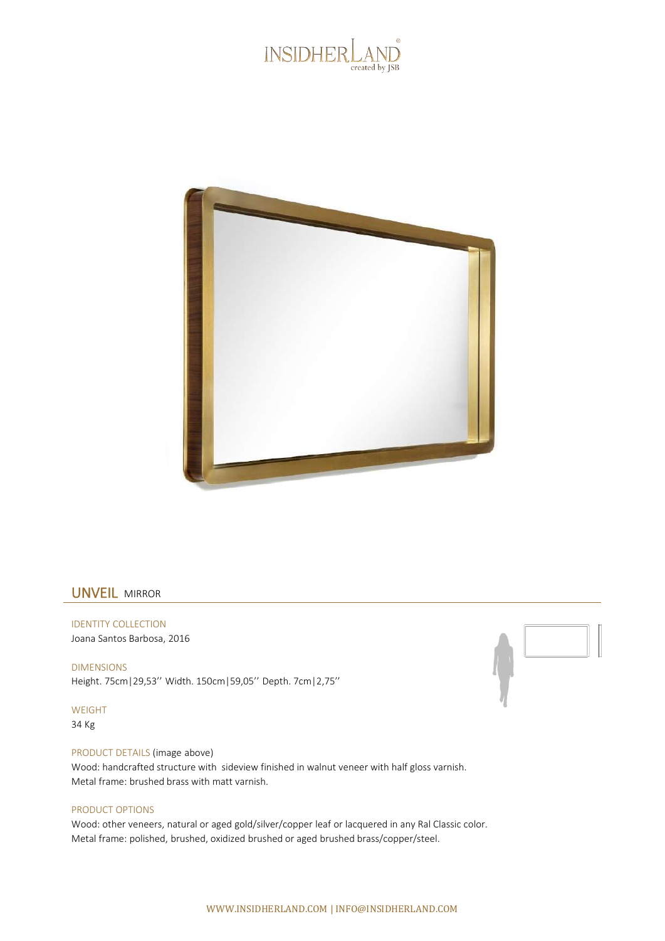



## UNVEIL MIRROR

IDENTITY COLLECTION Joana Santos Barbosa, 2016

DIMENSIONS Height. 75cm|29,53'' Width. 150cm|59,05'' Depth. 7cm|2,75''

WEIGHT 34 Kg

PRODUCT DETAILS (image above) Wood: handcrafted structure with sideview finished in walnut veneer with half gloss varnish. Metal frame: brushed brass with matt varnish.

## PRODUCT OPTIONS

Wood: other veneers, natural or aged gold/silver/copper leaf or lacquered in any Ral Classic color. Metal frame: polished, brushed, oxidized brushed or aged brushed brass/copper/steel.